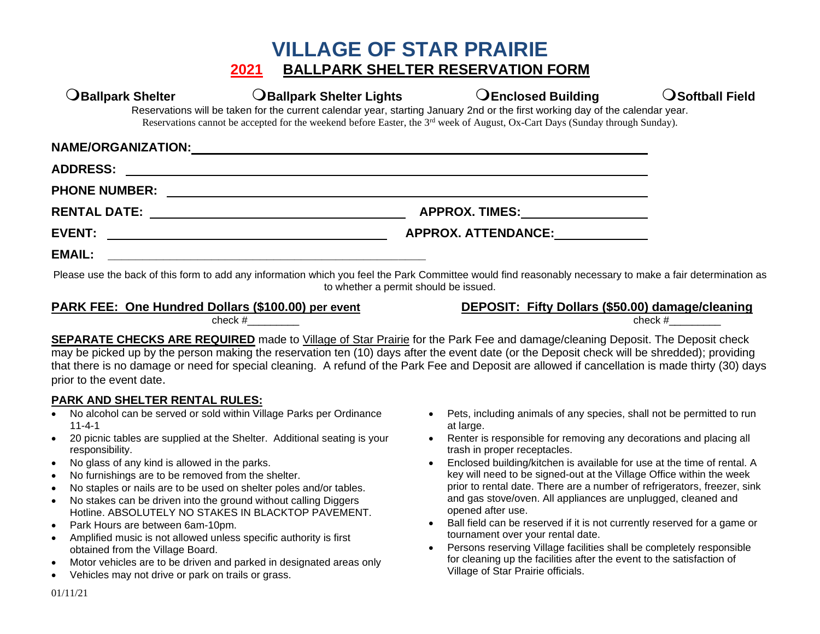## **VILLAGE OF STAR PRAIRIE 2021 BALLPARK SHELTER RESERVATION FORM**

| $\mathbf \mathsf{D}$ Ballpark Shelter | <b>OBallpark Shelter Lights</b>                                                                                                                                                                                                                                           | <b>OEnclosed Building</b>                                                                                                                                                                                                      | $\operatorname{\mathsf{O}}$ Softball Field |  |
|---------------------------------------|---------------------------------------------------------------------------------------------------------------------------------------------------------------------------------------------------------------------------------------------------------------------------|--------------------------------------------------------------------------------------------------------------------------------------------------------------------------------------------------------------------------------|--------------------------------------------|--|
|                                       | Reservations will be taken for the current calendar year, starting January 2nd or the first working day of the calendar year.<br>Reservations cannot be accepted for the weekend before Easter, the 3 <sup>rd</sup> week of August, Ox-Cart Days (Sunday through Sunday). |                                                                                                                                                                                                                                |                                            |  |
| <b>NAME/ORGANIZATION:</b>             |                                                                                                                                                                                                                                                                           |                                                                                                                                                                                                                                |                                            |  |
| <b>ADDRESS:</b>                       |                                                                                                                                                                                                                                                                           |                                                                                                                                                                                                                                |                                            |  |
| <b>PHONE NUMBER:</b>                  |                                                                                                                                                                                                                                                                           |                                                                                                                                                                                                                                |                                            |  |
| <b>RENTAL DATE:</b>                   |                                                                                                                                                                                                                                                                           | APPROX. TIMES: _________________                                                                                                                                                                                               |                                            |  |
| <b>EVENT:</b>                         | <u> 1989 - Johann Harry Harry Harry Harry Harry Harry Harry Harry Harry Harry Harry Harry Harry Harry Harry Harry</u>                                                                                                                                                     | APPROX. ATTENDANCE: Network and the set of the set of the set of the set of the set of the set of the set of the set of the set of the set of the set of the set of the set of the set of the set of the set of the set of the |                                            |  |
| <b>EMAIL:</b>                         |                                                                                                                                                                                                                                                                           |                                                                                                                                                                                                                                |                                            |  |
|                                       | Please use the back of this form to add any information which you feel the Park Committee would find reasonably necessary to make a fair determination as                                                                                                                 |                                                                                                                                                                                                                                |                                            |  |

to whether a permit should be issued.

### **PARK FEE: One Hundred Dollars (\$100.00) per event DEPOSIT: Fifty Dollars (\$50.00) damage/cleaning**

 $\frac{1}{2}$  check  $\#$ 

**SEPARATE CHECKS ARE REQUIRED** made to Village of Star Prairie for the Park Fee and damage/cleaning Deposit. The Deposit check may be picked up by the person making the reservation ten (10) days after the event date (or the Deposit check will be shredded); providing that there is no damage or need for special cleaning. A refund of the Park Fee and Deposit are allowed if cancellation is made thirty (30) days prior to the event date.

### **PARK AND SHELTER RENTAL RULES:**

- No alcohol can be served or sold within Village Parks per Ordinance 11-4-1
- 20 picnic tables are supplied at the Shelter. Additional seating is your responsibility.
- No glass of any kind is allowed in the parks.
- No furnishings are to be removed from the shelter.
- No staples or nails are to be used on shelter poles and/or tables.
- No stakes can be driven into the ground without calling Diggers Hotline. ABSOLUTELY NO STAKES IN BLACKTOP PAVEMENT.
- Park Hours are between 6am-10pm.
- Amplified music is not allowed unless specific authority is first obtained from the Village Board.
- Motor vehicles are to be driven and parked in designated areas only
- Vehicles may not drive or park on trails or grass.
- Pets, including animals of any species, shall not be permitted to run at large.
- Renter is responsible for removing any decorations and placing all trash in proper receptacles.
- Enclosed building/kitchen is available for use at the time of rental. A key will need to be signed-out at the Village Office within the week prior to rental date. There are a number of refrigerators, freezer, sink and gas stove/oven. All appliances are unplugged, cleaned and opened after use.
- Ball field can be reserved if it is not currently reserved for a game or tournament over your rental date.
- Persons reserving Village facilities shall be completely responsible for cleaning up the facilities after the event to the satisfaction of Village of Star Prairie officials.